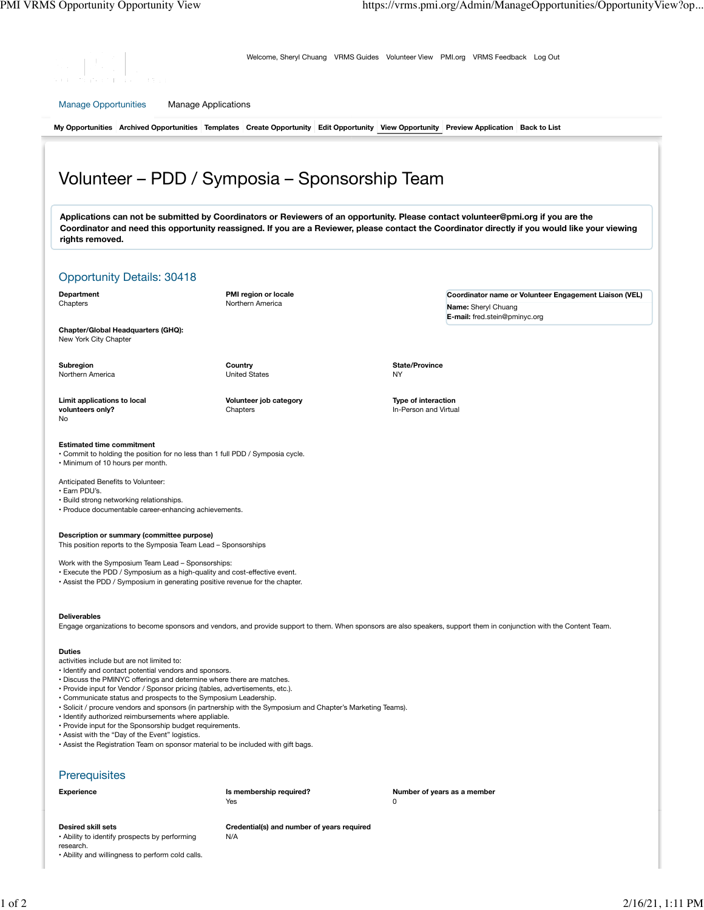**Coordinator name or Volunteer Engagement Liaison (VEL)**

**Name:** Sheryl Chuang **E-mail:** fred.stein@pminyc.org

**State/Province** NY

**Type of interaction** In-Person and Virtual



Welcome, Sheryl Chuang VRMS Guides Volunteer View PMI.org VRMS Feedback Log Out

Manage Opportunities Manage Applications

**My Opportunities Archived Opportunities Templates Create Opportunity Edit Opportunity View Opportunity Preview Application Back to List**

# Volunteer – PDD / Symposia – Sponsorship Team

**Applications can not be submitted by Coordinators or Reviewers of an opportunity. Please contact volunteer@pmi.org if you are the Coordinator and need this opportunity reassigned. If you are a Reviewer, please contact the Coordinator directly if you would like your viewing rights removed.**

### Opportunity Details: 30418

**Department** Chapters

**PMI region or locale** Northern America

**Chapter/Global Headquarters (GHQ):** New York City Chapter

**Subregion** Northern America **Country** United States

**Chapters** 

**Volunteer job category**

**Limit applications to local volunteers only?** No

#### **Estimated time commitment**

• Commit to holding the position for no less than 1 full PDD / Symposia cycle. • Minimum of 10 hours per month.

Anticipated Benefits to Volunteer:

• Earn PDU's.

- Build strong networking relationships.
- Produce documentable career-enhancing achievements.

#### **Description or summary (committee purpose)**

This position reports to the Symposia Team Lead – Sponsorships

Work with the Symposium Team Lead – Sponsorships:

- Execute the PDD / Symposium as a high-quality and cost-effective event.
- Assist the PDD / Symposium in generating positive revenue for the chapter.

#### **Deliverables**

Engage organizations to become sponsors and vendors, and provide support to them. When sponsors are also speakers, support them in conjunction with the Content Team.

#### **Duties**

- activities include but are not limited to:
- Identify and contact potential vendors and sponsors.
- Discuss the PMINYC offerings and determine where there are matches.
- Provide input for Vendor / Sponsor pricing (tables, advertisements, etc.).
- Communicate status and prospects to the Symposium Leadership.
- Solicit / procure vendors and sponsors (in partnership with the Symposium and Chapter's Marketing Teams).
- Identify authorized reimbursements where appliable. • Provide input for the Sponsorship budget requirements.
- Assist with the "Day of the Event" logistics.
- Assist the Registration Team on sponsor material to be included with gift bags.

## **Prerequisites**

| <b>Experience</b>                                                   | Is membership required?<br>Yes                    | Number of years as a member<br>0 |
|---------------------------------------------------------------------|---------------------------------------------------|----------------------------------|
| Desired skill sets<br>• Ability to identify prospects by performing | Credential(s) and number of years required<br>N/A |                                  |
| research.                                                           |                                                   |                                  |

• Ability and willingness to perform cold calls.